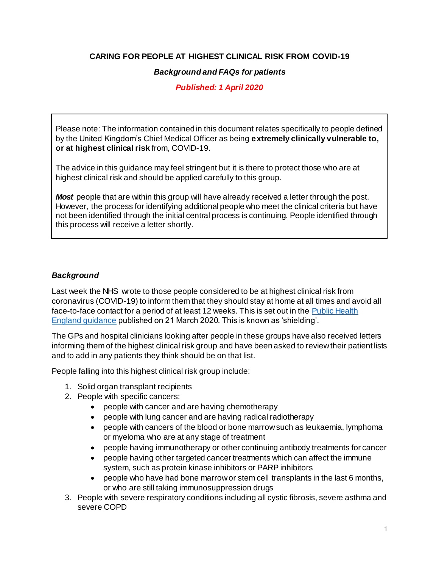## **CARING FOR PEOPLE AT HIGHEST CLINICAL RISK FROM COVID-19**

#### *Background and FAQs for patients*

## *Published: 1 April 2020*

Please note: The information contained in this document relates specifically to people defined by the United Kingdom's Chief Medical Officer as being **extremely clinically vulnerable to, or at highest clinical risk** from, COVID-19.

The advice in this guidance may feel stringent but it is there to protect those who are at highest clinical risk and should be applied carefully to this group.

**Most** people that are within this group will have already received a letter through the post. However, the process for identifying additional people who meet the clinical criteria but have not been identified through the initial central process is continuing. People identified through this process will receive a letter shortly.

## *Background*

Last week the NHS wrote to those people considered to be at highest clinical risk from coronavirus (COVID-19) to inform them that they should stay at home at all times and avoid all face-to-face contact for a period of at least 12 weeks. This is set out in the [Public Health](https://www.gov.uk/government/publications/guidance-on-shielding-and-protecting-extremely-vulnerable-persons-from-covid-19/guidance-on-shielding-and-protecting-extremely-vulnerable-persons-from-covid-19)  [England guidance](https://www.gov.uk/government/publications/guidance-on-shielding-and-protecting-extremely-vulnerable-persons-from-covid-19/guidance-on-shielding-and-protecting-extremely-vulnerable-persons-from-covid-19) published on 21 March 2020. This is known as 'shielding'.

The GPs and hospital clinicians looking after people in these groups have also received letters informing them of the highest clinical risk group and have been asked to review their patient lists and to add in any patients they think should be on that list.

People falling into this highest clinical risk group include:

- 1. Solid organ transplant recipients
- 2. People with specific cancers:
	- people with cancer and are having chemotherapy
	- people with lung cancer and are having radical radiotherapy
	- people with cancers of the blood or bone marrow such as leukaemia, lymphoma or myeloma who are at any stage of treatment
	- people having immunotherapy or other continuing antibody treatments for cancer
	- people having other targeted cancer treatments which can affect the immune system, such as protein kinase inhibitors or PARP inhibitors
	- people who have had bone marrow or stem cell transplants in the last 6 months, or who are still taking immunosuppression drugs
- 3. People with severe respiratory conditions including all cystic fibrosis, severe asthma and severe COPD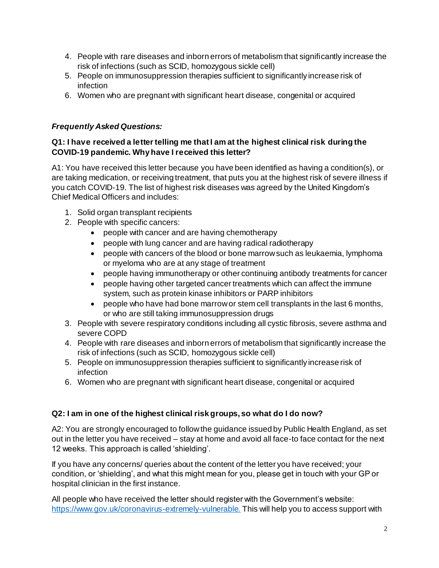- 4. People with rare diseases and inborn errors of metabolism that significantly increase the risk of infections (such as SCID, homozygous sickle cell)
- 5. People on immunosuppression therapies sufficient to significantly increase risk of infection
- 6. Women who are pregnant with significant heart disease, congenital or acquired

# *Frequently Asked Questions:*

## **Q1: I have received a letter telling me that I am at the highest clinical risk during the COVID-19 pandemic. Why have I received this letter?**

A1: You have received this letter because you have been identified as having a condition(s), or are taking medication, or receiving treatment, that puts you at the highest risk of severe illness if you catch COVID-19. The list of highest risk diseases was agreed by the United Kingdom's Chief Medical Officers and includes:

- 1. Solid organ transplant recipients
- 2. People with specific cancers:
	- people with cancer and are having chemotherapy
	- people with lung cancer and are having radical radiotherapy
	- people with cancers of the blood or bone marrow such as leukaemia, lymphoma or myeloma who are at any stage of treatment
	- people having immunotherapy or other continuing antibody treatments for cancer
	- people having other targeted cancer treatments which can affect the immune system, such as protein kinase inhibitors or PARP inhibitors
	- people who have had bone marrow or stem cell transplants in the last 6 months, or who are still taking immunosuppression drugs
- 3. People with severe respiratory conditions including all cystic fibrosis, severe asthma and severe COPD
- 4. People with rare diseases and inborn errors of metabolism that significantly increase the risk of infections (such as SCID, homozygous sickle cell)
- 5. People on immunosuppression therapies sufficient to significantly increase risk of infection
- 6. Women who are pregnant with significant heart disease, congenital or acquired

## **Q2: I am in one of the highest clinical risk groups, so what do I do now?**

A2: You are strongly encouraged to follow the guidance issued by Public Health England, as set out in the letter you have received – stay at home and avoid all face-to face contact for the next 12 weeks. This approach is called 'shielding'.

If you have any concerns/ queries about the content of the letter you have received; your condition, or 'shielding', and what this might mean for you, please get in touch with your GP or hospital clinician in the first instance.

All people who have received the letter should register with the Government's website: https://www.gov.uk/coronavirus-extremely-vulnerable. This will help you to access support with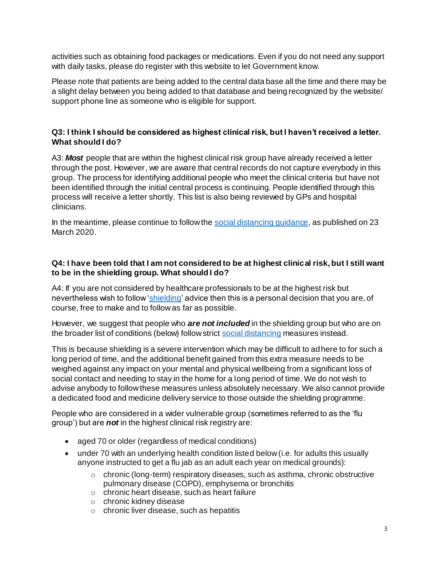activities such as obtaining food packages or medications. Even if you do not need any support with daily tasks, please do register with this website to let Government know.

Please note that patients are being added to the central data base all the time and there may be a slight delay between you being added to that database and being recognized by the website/ support phone line as someone who is eligible for support.

## **Q3: I think I should be considered as highest clinical risk, but I haven't received a letter. What should I do?**

A3: *Most* people that are within the highest clinical risk group have already received a letter through the post. However, we are aware that central records do not capture everybody in this group. The process for identifying additional people who meet the clinical criteria but have not been identified through the initial central process is continuing. People identified through this process will receive a letter shortly. This list is also being reviewed by GPs and hospital clinicians.

In the meantime, please continue to follow the social distancing quidance, as published on 23 March 2020.

#### **Q4: I have been told that I am not considered to be at highest clinical risk,but I still want to be in the shielding group. What should I do?**

A4: If you are not considered by healthcare professionals to be at the highest risk but nevertheless wish to follow ['shielding'](https://www.gov.uk/government/publications/guidance-on-shielding-and-protecting-extremely-vulnerable-persons-from-covid-19/guidance-on-shielding-and-protecting-extremely-vulnerable-persons-from-covid-19) advice then this is a personal decision that you are, of course, free to make and to follow as far as possible.

However, we suggest that people who *are not included* in the shielding group but who are on the broader list of conditions (below) follow strict [social distancing](https://www.gov.uk/government/publications/full-guidance-on-staying-at-home-and-away-from-others/full-guidance-on-staying-at-home-and-away-from-others) measures instead.

This is because shielding is a severe intervention which may be difficult to adhere to for such a long period of time, and the additional benefit gained from this extra measure needs to be weighed against any impact on your mental and physical wellbeing from a significant loss of social contact and needing to stay in the home for a long period of time. We do not wish to advise anybody to follow these measures unless absolutely necessary. We also cannot provide a dedicated food and medicine delivery service to those outside the shielding programme.

People who are considered in a wider vulnerable group (sometimes referred to as the 'flu group') but are *not* in the highest clinical risk registry are:

- aged 70 or older (regardless of medical conditions)
- under 70 with an underlying health condition listed below (i.e. for adults this usually anyone instructed to get a flu jab as an adult each year on medical grounds):
	- $\circ$  chronic (long-term) respiratory diseases, such as asthma, chronic obstructive pulmonary disease (COPD), emphysema or bronchitis
	- o chronic heart disease, such as heart failure
	- o chronic kidney disease
	- o chronic liver disease, such as hepatitis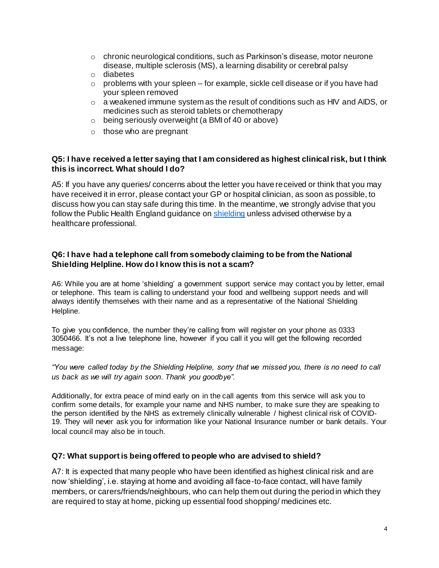- $\circ$  chronic neurological conditions, such as Parkinson's disease, motor neurone disease, multiple sclerosis (MS), a learning disability or cerebral palsy
- o diabetes
- $\circ$  problems with your spleen for example, sickle cell disease or if you have had your spleen removed
- $\circ$  a weakened immune system as the result of conditions such as HIV and AIDS, or medicines such as steroid tablets or chemotherapy
- o being seriously overweight (a BMI of 40 or above)
- $\circ$  those who are pregnant

#### **Q5: I have received a letter saying that I am considered as highest clinical risk, but I think this is incorrect. What should I do?**

A5: If you have any queries/ concerns about the letter you have received or think that you may have received it in error, please contact your GP or hospital clinician, as soon as possible, to discuss how you can stay safe during this time. In the meantime, we strongly advise that you follow the Public Health England guidance o[n shielding](https://www.gov.uk/government/publications/guidance-on-shielding-and-protecting-extremely-vulnerable-persons-from-covid-19/guidance-on-shielding-and-protecting-extremely-vulnerable-persons-from-covid-19) unless advised otherwise by a healthcare professional.

#### **Q6: I have had a telephone call from somebody claiming to be from the National Shielding Helpline. How do I know this is not a scam?**

A6: While you are at home 'shielding' a government support service may contact you by letter, email or telephone. This team is calling to understand your food and wellbeing support needs and will always identify themselves with their name and as a representative of the National Shielding Helpline.

To give you confidence, the number they're calling from will register on your phone as 0333 3050466. It's not a live telephone line, however if you call it you will get the following recorded message:

*"You were called today by the Shielding Helpline, sorry that we missed you, there is no need to call us back as we will try again soon. Thank you goodbye".*

Additionally, for extra peace of mind early on in the call agents from this service will ask you to confirm some details, for example your name and NHS number, to make sure they are speaking to the person identified by the NHS as extremely clinically vulnerable / highest clinical risk of COVID-19. They will never ask you for information like your National Insurance number or bank details. Your local council may also be in touch.

#### **Q7: What support is being offered to people who are advised to shield?**

A7: It is expected that many people who have been identified as highest clinical risk and are now 'shielding', i.e. staying at home and avoiding all face-to-face contact, will have family members, or carers/friends/neighbours, who can help them out during the period in which they are required to stay at home, picking up essential food shopping/ medicines etc.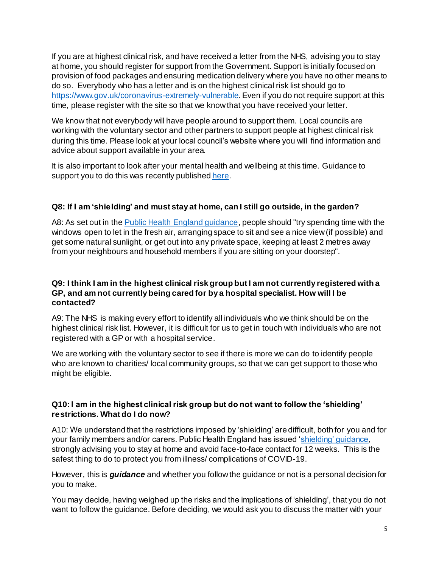If you are at highest clinical risk, and have received a letter from the NHS, advising you to stay at home, you should register for support from the Government. Support is initially focused on provision of food packages and ensuring medication delivery where you have no other means to do so. Everybody who has a letter and is on the highest clinical risk list should go to <https://www.gov.uk/coronavirus-extremely-vulnerable>. Even if you do not require support at this time, please register with the site so that we know that you have received your letter.

We know that not everybody will have people around to support them. Local councils are working with the voluntary sector and other partners to support people at highest clinical risk during this time. Please look at your local council's website where you will find information and advice about support available in your area.

It is also important to look after your mental health and wellbeing at this time. Guidance to support you to do this was recently publishe[d here](https://www.gov.uk/government/publications/covid-19-guidance-for-the-public-on-mental-health-and-wellbeing/guidance-for-the-public-on-the-mental-health-and-wellbeing-aspects-of-coronavirus-covid-19.).

## **Q8: If I am 'shielding' and must stay at home, can I still go outside, in the garden?**

A8: As set out in the [Public Health England guidance](https://www.gov.uk/government/publications/guidance-on-shielding-and-protecting-extremely-vulnerable-persons-from-covid-19/guidance-on-shielding-and-protecting-extremely-vulnerable-persons-from-covid-19), people should "try spending time with the windows open to let in the fresh air, arranging space to sit and see a nice view (if possible) and get some natural sunlight, or get out into any private space, keeping at least 2 metres away from your neighbours and household members if you are sitting on your doorstep".

#### **Q9: I think I am in the highest clinical risk group but I am not currently registered with a GP, and am not currently being cared for by a hospital specialist. How will I be contacted?**

A9: The NHS is making every effort to identify all individuals who we think should be on the highest clinical risk list. However, it is difficult for us to get in touch with individuals who are not registered with a GP or with a hospital service.

We are working with the voluntary sector to see if there is more we can do to identify people who are known to charities/ local community groups, so that we can get support to those who might be eligible.

## **Q10: I am in the highest clinical risk group but do not want to follow the 'shielding' restrictions. What do I do now?**

A10: We understand that the restrictions imposed by 'shielding' are difficult, both for you and for your family members and/or carers. Public Health England has issued ['shielding' guidance](https://www.gov.uk/government/publications/guidance-on-shielding-and-protecting-extremely-vulnerable-persons-from-covid-19/guidance-on-shielding-and-protecting-extremely-vulnerable-persons-from-covid-19), strongly advising you to stay at home and avoid face-to-face contact for 12 weeks. This is the safest thing to do to protect you from illness/ complications of COVID-19.

However, this is *guidance* and whether you follow the guidance or not is a personal decision for you to make.

You may decide, having weighed up the risks and the implications of 'shielding', that you do not want to follow the guidance. Before deciding, we would ask you to discuss the matter with your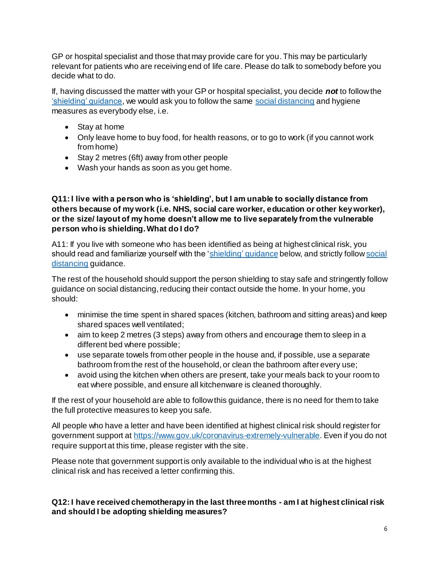GP or hospital specialist and those that may provide care for you. This may be particularly relevant for patients who are receiving end of life care. Please do talk to somebody before you decide what to do.

If, having discussed the matter with your GP or hospital specialist, you decide *not* to follow the ['shielding' guidance](https://www.gov.uk/government/publications/guidance-on-shielding-and-protecting-extremely-vulnerable-persons-from-covid-19/guidance-on-shielding-and-protecting-extremely-vulnerable-persons-from-covid-19), we would ask you to follow the same [social distancing](https://www.gov.uk/government/publications/full-guidance-on-staying-at-home-and-away-from-others/full-guidance-on-staying-at-home-and-away-from-others) and hygiene measures as everybody else, i.e.

- Stay at home
- Only leave home to buy food, for health reasons, or to go to work (if you cannot work from home)
- Stay 2 metres (6ft) away from other people
- Wash your hands as soon as you get home.

#### **Q11: I live with a person who is 'shielding', but I am unable to socially distance from others because of my work (i.e. NHS, social care worker, education or other key worker), or the size/ layout of my home doesn't allow me to live separately from the vulnerable person who is shielding. What do I do?**

A11: If you live with someone who has been identified as being at highest clinical risk, you should read and familiarize yourself with the ['shielding'](https://www.gov.uk/government/publications/guidance-on-shielding-and-protecting-extremely-vulnerable-persons-from-covid-19/guidance-on-shielding-and-protecting-extremely-vulnerable-persons-from-covid-19) guidance below, and strictly follow social [distancing](https://www.gov.uk/government/publications/full-guidance-on-staying-at-home-and-away-from-others/full-guidance-on-staying-at-home-and-away-from-others) guidance.

The rest of the household should support the person shielding to stay safe and stringently follow guidance on social distancing, reducing their contact outside the home. In your home, you should:

- minimise the time spent in shared spaces (kitchen, bathroom and sitting areas) and keep shared spaces well ventilated;
- aim to keep 2 metres (3 steps) away from others and encourage them to sleep in a different bed where possible;
- use separate towels from other people in the house and, if possible, use a separate bathroom from the rest of the household, or clean the bathroom after every use;
- avoid using the kitchen when others are present, take your meals back to your room to eat where possible, and ensure all kitchenware is cleaned thoroughly.

If the rest of your household are able to follow this guidance, there is no need for them to take the full protective measures to keep you safe.

All people who have a letter and have been identified at highest clinical risk should register for government support a[t https://www.gov.uk/coronavirus-extremely-vulnerable](https://www.gov.uk/coronavirus-extremely-vulnerable). Even if you do not require support at this time, please register with the site.

Please note that government support is only available to the individual who is at the highest clinical risk and has received a letter confirming this.

## **Q12: I have received chemotherapy in the last three months - am I at highest clinical risk and should I be adopting shielding measures?**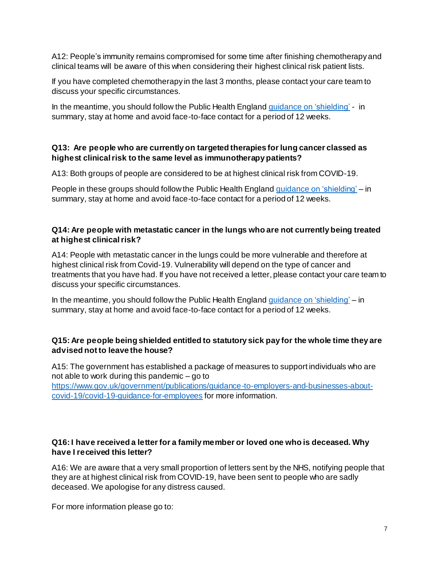A12: People's immunity remains compromised for some time after finishing chemotherapy and clinical teams will be aware of this when considering their highest clinical risk patient lists.

If you have completed chemotherapy in the last 3 months, please contact your care team to discuss your specific circumstances.

In the meantime, you should follow the Public Health England guidance [on 'shielding'](https://www.gov.uk/government/publications/guidance-on-shielding-and-protecting-extremely-vulnerable-persons-from-covid-19/guidance-on-shielding-and-protecting-extremely-vulnerable-persons-from-covid-19) - in summary, stay at home and avoid face-to-face contact for a period of 12 weeks.

#### **Q13: Are people who are currently on targeted therapies for lung cancer classed as highest clinical risk to the same level as immunotherapy patients?**

A13: Both groups of people are considered to be at highest clinical risk from COVID-19.

People in these groups should follow the Public Health England *guidance [on 'shielding'](https://www.gov.uk/government/publications/guidance-on-shielding-and-protecting-extremely-vulnerable-persons-from-covid-19/guidance-on-shielding-and-protecting-extremely-vulnerable-persons-from-covid-19)* – in summary, stay at home and avoid face-to-face contact for a period of 12 weeks.

## **Q14: Are people with metastatic cancer in the lungs who are not currently being treated at highest clinical risk?**

A14: People with metastatic cancer in the lungs could be more vulnerable and therefore at highest clinical risk from Covid-19. Vulnerability will depend on the type of cancer and treatments that you have had. If you have not received a letter, please contact your care team to discuss your specific circumstances.

In the meantime, you should follow the [Public](https://www.gov.uk/government/publications/guidance-on-shielding-and-protecting-extremely-vulnerable-persons-from-covid-19/guidance-on-shielding-and-protecting-extremely-vulnerable-persons-from-covid-19) Health England guidance [on 'shielding'](https://www.gov.uk/government/publications/guidance-on-shielding-and-protecting-extremely-vulnerable-persons-from-covid-19/guidance-on-shielding-and-protecting-extremely-vulnerable-persons-from-covid-19) – in summary, stay at home and avoid face-to-face contact for a period of 12 weeks.

## **Q15: Are people being shielded entitled to statutory sick pay for the whole time they are advised not to leave the house?**

A15: The government has established a package of measures to support individuals who are not able to work during this pandemic – go to

[https://www.gov.uk/government/publications/guidance-to-employers-and-businesses-about](https://www.gov.uk/government/publications/guidance-to-employers-and-businesses-about-covid-19/covid-19-guidance-for-employees)[covid-19/covid-19-guidance-for-employees](https://www.gov.uk/government/publications/guidance-to-employers-and-businesses-about-covid-19/covid-19-guidance-for-employees) for more information.

## **Q16: I have received a letter for a family member or loved one who is deceased. Why have I received this letter?**

A16: We are aware that a very small proportion of letters sent by the NHS, notifying people that they are at highest clinical risk from COVID-19, have been sent to people who are sadly deceased. We apologise for any distress caused.

For more information please go to: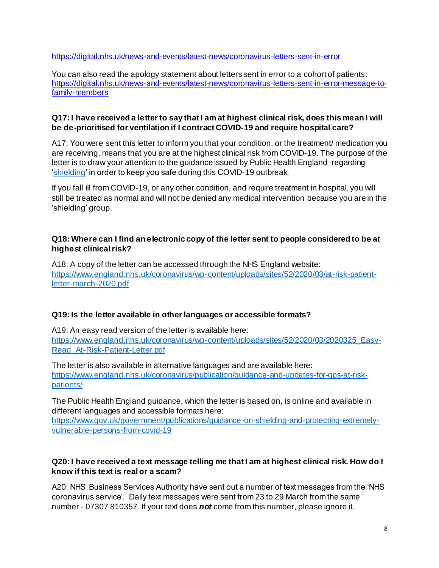<https://digital.nhs.uk/news-and-events/latest-news/coronavirus-letters-sent-in-error>

You can also read the apology statement about letters sent in error to a cohort of patients: [https://digital.nhs.uk/news-and-events/latest-news/coronavirus-letters-sent-in-error-message-to](https://digital.nhs.uk/news-and-events/latest-news/coronavirus-letters-sent-in-error-message-to-family-members)[family-members](https://digital.nhs.uk/news-and-events/latest-news/coronavirus-letters-sent-in-error-message-to-family-members)

#### **Q17: I have received a letter to say that I am at highest clinical risk, does this mean I will be de-prioritised for ventilation if I contract COVID-19 and require hospital care?**

A17: You were sent this letter to inform you that your condition, or the treatment/ medication you are receiving, means that you are at the highest clinical risk from COVID-19. The purpose of the letter is to draw your attention to the guidance issued by Public Health England regarding ['shielding'](https://www.gov.uk/government/publications/guidance-on-shielding-and-protecting-extremely-vulnerable-persons-from-covid-19/guidance-on-shielding-and-protecting-extremely-vulnerable-persons-from-covid-19) in order to keep you safe during this COVID-19 outbreak.

If you fall ill from COVID-19, or any other condition, and require treatment in hospital, you will still be treated as normal and will not be denied any medical intervention because you are in the 'shielding' group.

## **Q18: Where can I find an electronic copy of the letter sent to people considered to be at highest clinical risk?**

A18: A copy of the letter can be accessed through the NHS England website: [https://www.england.nhs.uk/coronavirus/wp-content/uploads/sites/52/2020/03/at-risk-patient](https://www.england.nhs.uk/coronavirus/wp-content/uploads/sites/52/2020/03/at-risk-patient-letter-march-2020.pdf)[letter-march-2020.pdf](https://www.england.nhs.uk/coronavirus/wp-content/uploads/sites/52/2020/03/at-risk-patient-letter-march-2020.pdf)

## **Q19: Is the letter available in other languages or accessible formats?**

A19: An easy read version of the letter is available here: [https://www.england.nhs.uk/coronavirus/wp-content/uploads/sites/52/2020/03/2020325\\_Easy-](https://www.england.nhs.uk/coronavirus/wp-content/uploads/sites/52/2020/03/2020325_Easy-Read_At-Risk-Patient-Letter.pdf)[Read\\_At-Risk-Patient-Letter.pdf](https://www.england.nhs.uk/coronavirus/wp-content/uploads/sites/52/2020/03/2020325_Easy-Read_At-Risk-Patient-Letter.pdf)

The letter is also available in alternative languages and are available here: [https://www.england.nhs.uk/coronavirus/publication/guidance-and-updates-for-gps-at-risk](https://www.england.nhs.uk/coronavirus/publication/guidance-and-updates-for-gps-at-risk-patients/)[patients/](https://www.england.nhs.uk/coronavirus/publication/guidance-and-updates-for-gps-at-risk-patients/)

The Public Health England guidance, which the letter is based on, is online and available in different languages and accessible formats here:

[https://www.gov.uk/government/publications/guidance-on-shielding-and-protecting-extremely](https://www.gov.uk/government/publications/guidance-on-shielding-and-protecting-extremely-vulnerable-persons-from-covid-19)[vulnerable-persons-from-covid-19](https://www.gov.uk/government/publications/guidance-on-shielding-and-protecting-extremely-vulnerable-persons-from-covid-19)

## **Q20: I have received a text message telling me that I am at highest clinical risk. How do I know if this text is real or a scam?**

A20: NHS Business Services Authority have sent out a number of text messages from the 'NHS coronavirus service'. Daily text messages were sent from 23 to 29 March from the same number - 07307 810357. If your text does *not* come from this number, please ignore it.